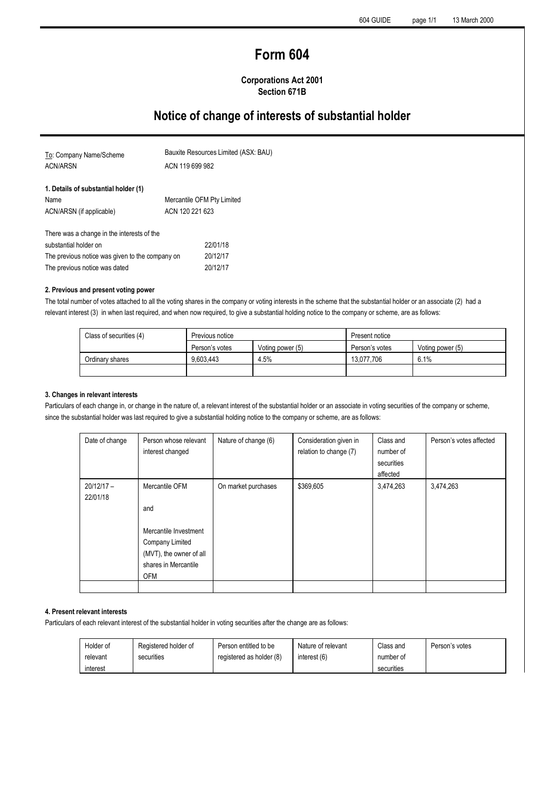# **Form 604**

# **Corporations Act 2001 Section 671B**

# **Notice of change of interests of substantial holder**

| To: Company Name/Scheme                         | Bauxite Resources Limited (ASX: BAU) |
|-------------------------------------------------|--------------------------------------|
| <b>ACN/ARSN</b>                                 | ACN 119 699 982                      |
| 1. Details of substantial holder (1)            |                                      |
| Name                                            | Mercantile OFM Pty Limited           |
| ACN/ARSN (if applicable)                        | ACN 120 221 623                      |
| There was a change in the interests of the      |                                      |
| substantial holder on                           | 22/01/18                             |
| The previous notice was given to the company on | 20/12/17                             |
| The previous notice was dated                   | 20/12/17                             |

#### **2. Previous and present voting power**

The total number of votes attached to all the voting shares in the company or voting interests in the scheme that the substantial holder or an associate (2) had a relevant interest (3) in when last required, and when now required, to give a substantial holding notice to the company or scheme, are as follows:

| Class of securities (4) | Previous notice |                  | Present notice |                  |
|-------------------------|-----------------|------------------|----------------|------------------|
|                         | Person's votes  | Voting power (5) | Person's votes | Voting power (5) |
| Ordinary shares         | 9.603.443       | 4.5%             | 13.077.706     | 6.1%             |
|                         |                 |                  |                |                  |

#### **3. Changes in relevant interests**

Particulars of each change in, or change in the nature of, a relevant interest of the substantial holder or an associate in voting securities of the company or scheme, since the substantial holder was last required to give a substantial holding notice to the company or scheme, are as follows:

| Date of change           | Person whose relevant<br>interest changed                                                                                          | Nature of change (6) | Consideration given in<br>relation to change (7) | Class and<br>number of<br>securities<br>affected | Person's votes affected |
|--------------------------|------------------------------------------------------------------------------------------------------------------------------------|----------------------|--------------------------------------------------|--------------------------------------------------|-------------------------|
| $20/12/17 -$<br>22/01/18 | Mercantile OFM<br>and<br>Mercantile Investment<br>Company Limited<br>(MVT), the owner of all<br>shares in Mercantile<br><b>OFM</b> | On market purchases  | \$369,605                                        | 3,474,263                                        | 3,474,263               |
|                          |                                                                                                                                    |                      |                                                  |                                                  |                         |

### **4. Present relevant interests**

Particulars of each relevant interest of the substantial holder in voting securities after the change are as follows:

| Holder of | Registered holder of | Person entitled to be    | Nature of relevant | Class and  | Person's votes |
|-----------|----------------------|--------------------------|--------------------|------------|----------------|
| relevant  | securities           | registered as holder (8) | interest (6)       | number of  |                |
| interest  |                      |                          |                    | securities |                |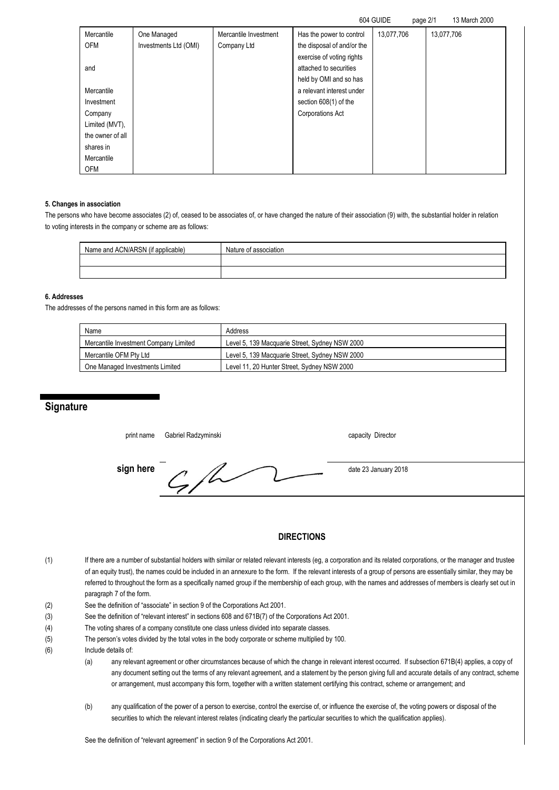|  | 604 GUIDE | page 2/1 | 13 March 2000 |
|--|-----------|----------|---------------|
|--|-----------|----------|---------------|

| Mercantile       | One Managed           | Mercantile Investment | Has the power to control   | 13,077,706 | 13,077,706 |
|------------------|-----------------------|-----------------------|----------------------------|------------|------------|
| <b>OFM</b>       | Investments Ltd (OMI) | Company Ltd           | the disposal of and/or the |            |            |
|                  |                       |                       | exercise of voting rights  |            |            |
| and              |                       |                       | attached to securities     |            |            |
|                  |                       |                       | held by OMI and so has     |            |            |
| Mercantile       |                       |                       | a relevant interest under  |            |            |
| Investment       |                       |                       | section 608(1) of the      |            |            |
| Company          |                       |                       | Corporations Act           |            |            |
| Limited (MVT),   |                       |                       |                            |            |            |
| the owner of all |                       |                       |                            |            |            |
| shares in        |                       |                       |                            |            |            |
| Mercantile       |                       |                       |                            |            |            |
| <b>OFM</b>       |                       |                       |                            |            |            |

#### **5. Changes in association**

The persons who have become associates (2) of, ceased to be associates of, or have changed the nature of their association (9) with, the substantial holder in relation to voting interests in the company or scheme are as follows:

| Name and ACN/ARSN (if applicable) | Nature of association |
|-----------------------------------|-----------------------|
|                                   |                       |
|                                   |                       |

### **6. Addresses**

The addresses of the persons named in this form are as follows:

| Name                                  | Address                                        |
|---------------------------------------|------------------------------------------------|
| Mercantile Investment Company Limited | Level 5, 139 Macquarie Street, Sydney NSW 2000 |
| Mercantile OFM Pty Ltd                | Level 5, 139 Macquarie Street, Sydney NSW 2000 |
| One Managed Investments Limited       | Level 11, 20 Hunter Street, Sydney NSW 2000    |

# **Signature**

print name Gabriel Radzyminski capacity Director

**sign here**  $\sqrt{2}$  date 23 January 2018

# **DIRECTIONS**

- (1) If there are a number of substantial holders with similar or related relevant interests (eg, a corporation and its related corporations, or the manager and trustee of an equity trust), the names could be included in an annexure to the form. If the relevant interests of a group of persons are essentially similar, they may be referred to throughout the form as a specifically named group if the membership of each group, with the names and addresses of members is clearly set out in paragraph 7 of the form.
- (2) See the definition of "associate" in section 9 of the Corporations Act 2001.
- (3) See the definition of "relevant interest" in sections 608 and 671B(7) of the Corporations Act 2001.
- (4) The voting shares of a company constitute one class unless divided into separate classes.
- (5) The person's votes divided by the total votes in the body corporate or scheme multiplied by 100.
- (6) Include details of:
	- (a) any relevant agreement or other circumstances because of which the change in relevant interest occurred. If subsection 671B(4) applies, a copy of any document setting out the terms of any relevant agreement, and a statement by the person giving full and accurate details of any contract, scheme or arrangement, must accompany this form, together with a written statement certifying this contract, scheme or arrangement; and
	- (b) any qualification of the power of a person to exercise, control the exercise of, or influence the exercise of, the voting powers or disposal of the securities to which the relevant interest relates (indicating clearly the particular securities to which the qualification applies).

See the definition of "relevant agreement" in section 9 of the Corporations Act 2001.